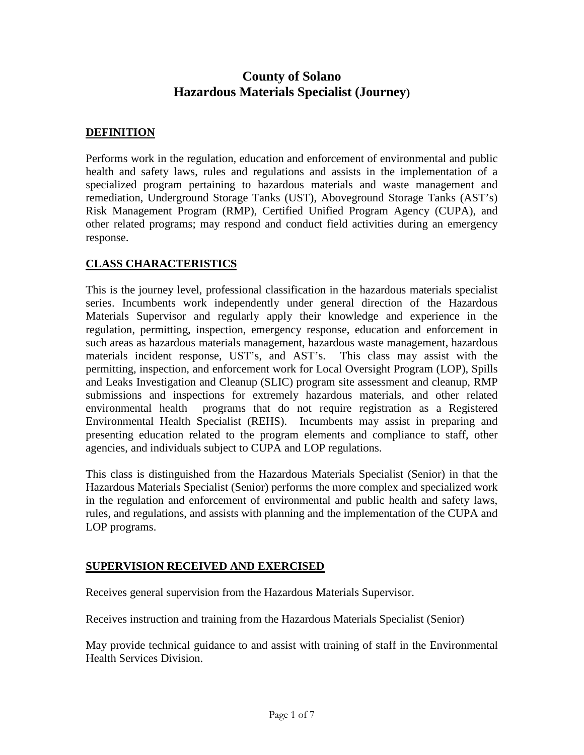# **County of Solano Hazardous Materials Specialist (Journey)**

## **DEFINITION**

Performs work in the regulation, education and enforcement of environmental and public health and safety laws, rules and regulations and assists in the implementation of a specialized program pertaining to hazardous materials and waste management and remediation, Underground Storage Tanks (UST), Aboveground Storage Tanks (AST's) Risk Management Program (RMP), Certified Unified Program Agency (CUPA), and other related programs; may respond and conduct field activities during an emergency response.

## **CLASS CHARACTERISTICS**

This is the journey level, professional classification in the hazardous materials specialist series. Incumbents work independently under general direction of the Hazardous Materials Supervisor and regularly apply their knowledge and experience in the regulation, permitting, inspection, emergency response, education and enforcement in such areas as hazardous materials management, hazardous waste management, hazardous materials incident response, UST's, and AST's. This class may assist with the permitting, inspection, and enforcement work for Local Oversight Program (LOP), Spills and Leaks Investigation and Cleanup (SLIC) program site assessment and cleanup, RMP submissions and inspections for extremely hazardous materials, and other related environmental health programs that do not require registration as a Registered Environmental Health Specialist (REHS). Incumbents may assist in preparing and presenting education related to the program elements and compliance to staff, other agencies, and individuals subject to CUPA and LOP regulations.

This class is distinguished from the Hazardous Materials Specialist (Senior) in that the Hazardous Materials Specialist (Senior) performs the more complex and specialized work in the regulation and enforcement of environmental and public health and safety laws, rules, and regulations, and assists with planning and the implementation of the CUPA and LOP programs.

## **SUPERVISION RECEIVED AND EXERCISED**

Receives general supervision from the Hazardous Materials Supervisor.

Receives instruction and training from the Hazardous Materials Specialist (Senior)

May provide technical guidance to and assist with training of staff in the Environmental Health Services Division.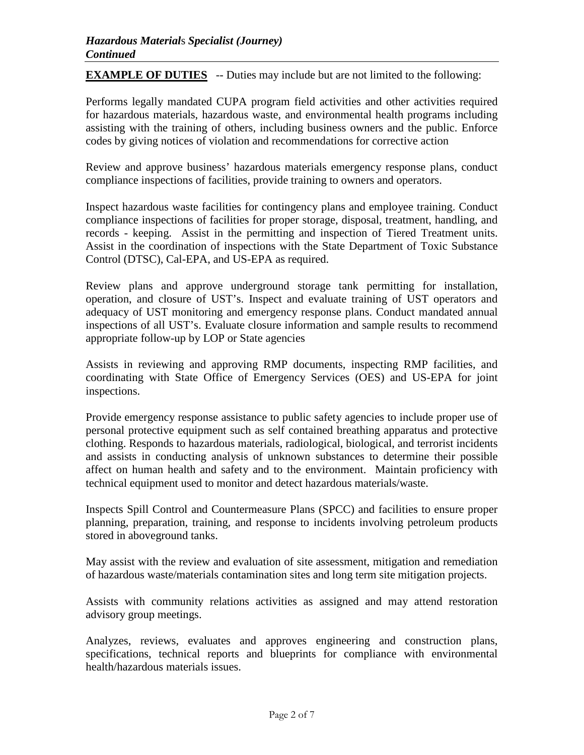**EXAMPLE OF DUTIES** -- Duties may include but are not limited to the following:

Performs legally mandated CUPA program field activities and other activities required for hazardous materials, hazardous waste, and environmental health programs including assisting with the training of others, including business owners and the public. Enforce codes by giving notices of violation and recommendations for corrective action

Review and approve business' hazardous materials emergency response plans, conduct compliance inspections of facilities, provide training to owners and operators.

Inspect hazardous waste facilities for contingency plans and employee training. Conduct compliance inspections of facilities for proper storage, disposal, treatment, handling, and records - keeping. Assist in the permitting and inspection of Tiered Treatment units. Assist in the coordination of inspections with the State Department of Toxic Substance Control (DTSC), Cal-EPA, and US-EPA as required.

Review plans and approve underground storage tank permitting for installation, operation, and closure of UST's. Inspect and evaluate training of UST operators and adequacy of UST monitoring and emergency response plans. Conduct mandated annual inspections of all UST's. Evaluate closure information and sample results to recommend appropriate follow-up by LOP or State agencies

Assists in reviewing and approving RMP documents, inspecting RMP facilities, and coordinating with State Office of Emergency Services (OES) and US-EPA for joint inspections.

Provide emergency response assistance to public safety agencies to include proper use of personal protective equipment such as self contained breathing apparatus and protective clothing. Responds to hazardous materials, radiological, biological, and terrorist incidents and assists in conducting analysis of unknown substances to determine their possible affect on human health and safety and to the environment. Maintain proficiency with technical equipment used to monitor and detect hazardous materials/waste.

Inspects Spill Control and Countermeasure Plans (SPCC) and facilities to ensure proper planning, preparation, training, and response to incidents involving petroleum products stored in aboveground tanks.

May assist with the review and evaluation of site assessment, mitigation and remediation of hazardous waste/materials contamination sites and long term site mitigation projects.

Assists with community relations activities as assigned and may attend restoration advisory group meetings.

Analyzes, reviews, evaluates and approves engineering and construction plans, specifications, technical reports and blueprints for compliance with environmental health/hazardous materials issues.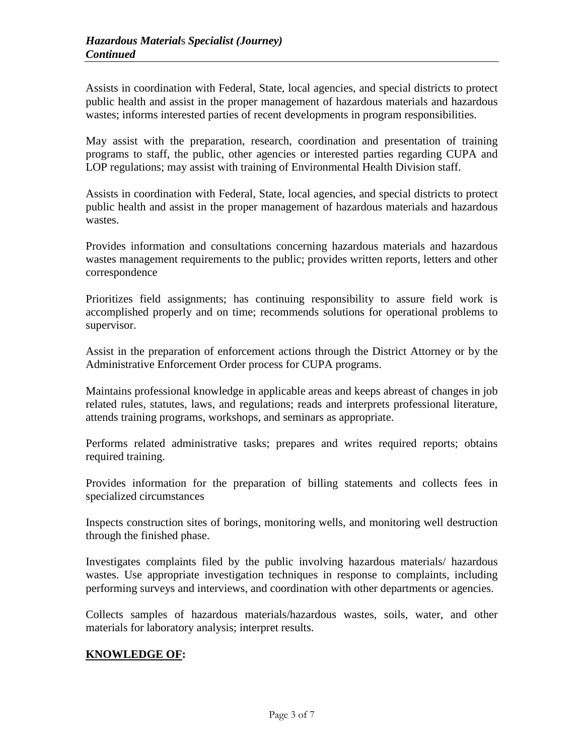Assists in coordination with Federal, State, local agencies, and special districts to protect public health and assist in the proper management of hazardous materials and hazardous wastes; informs interested parties of recent developments in program responsibilities.

May assist with the preparation, research, coordination and presentation of training programs to staff, the public, other agencies or interested parties regarding CUPA and LOP regulations; may assist with training of Environmental Health Division staff.

Assists in coordination with Federal, State, local agencies, and special districts to protect public health and assist in the proper management of hazardous materials and hazardous wastes.

Provides information and consultations concerning hazardous materials and hazardous wastes management requirements to the public; provides written reports, letters and other correspondence

Prioritizes field assignments; has continuing responsibility to assure field work is accomplished properly and on time; recommends solutions for operational problems to supervisor.

Assist in the preparation of enforcement actions through the District Attorney or by the Administrative Enforcement Order process for CUPA programs.

Maintains professional knowledge in applicable areas and keeps abreast of changes in job related rules, statutes, laws, and regulations; reads and interprets professional literature, attends training programs, workshops, and seminars as appropriate.

Performs related administrative tasks; prepares and writes required reports; obtains required training.

Provides information for the preparation of billing statements and collects fees in specialized circumstances

Inspects construction sites of borings, monitoring wells, and monitoring well destruction through the finished phase.

Investigates complaints filed by the public involving hazardous materials/ hazardous wastes. Use appropriate investigation techniques in response to complaints, including performing surveys and interviews, and coordination with other departments or agencies.

Collects samples of hazardous materials/hazardous wastes, soils, water, and other materials for laboratory analysis; interpret results.

## **KNOWLEDGE OF:**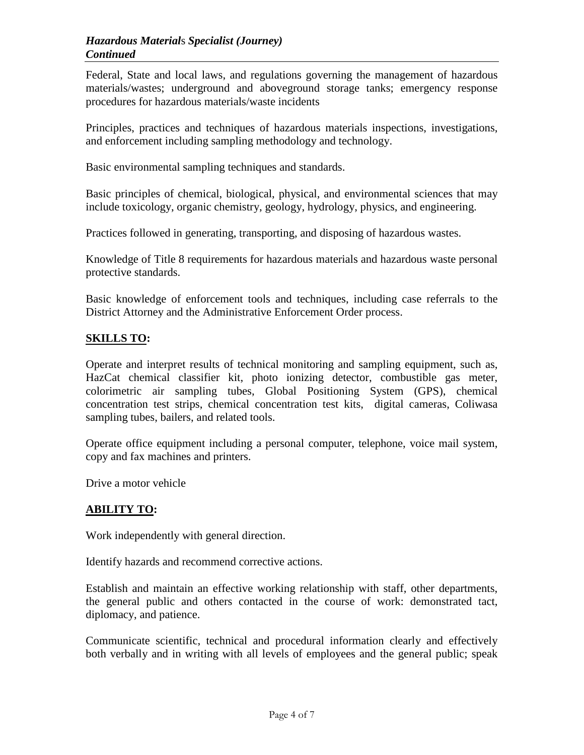Federal, State and local laws, and regulations governing the management of hazardous materials/wastes; underground and aboveground storage tanks; emergency response procedures for hazardous materials/waste incidents

Principles, practices and techniques of hazardous materials inspections, investigations, and enforcement including sampling methodology and technology.

Basic environmental sampling techniques and standards.

Basic principles of chemical, biological, physical, and environmental sciences that may include toxicology, organic chemistry, geology, hydrology, physics, and engineering.

Practices followed in generating, transporting, and disposing of hazardous wastes.

Knowledge of Title 8 requirements for hazardous materials and hazardous waste personal protective standards.

Basic knowledge of enforcement tools and techniques, including case referrals to the District Attorney and the Administrative Enforcement Order process.

## **SKILLS TO:**

Operate and interpret results of technical monitoring and sampling equipment, such as, HazCat chemical classifier kit, photo ionizing detector, combustible gas meter, colorimetric air sampling tubes, Global Positioning System (GPS), chemical concentration test strips, chemical concentration test kits, digital cameras, Coliwasa sampling tubes, bailers, and related tools.

Operate office equipment including a personal computer, telephone, voice mail system, copy and fax machines and printers.

Drive a motor vehicle

#### **ABILITY TO:**

Work independently with general direction.

Identify hazards and recommend corrective actions.

Establish and maintain an effective working relationship with staff, other departments, the general public and others contacted in the course of work: demonstrated tact, diplomacy, and patience.

Communicate scientific, technical and procedural information clearly and effectively both verbally and in writing with all levels of employees and the general public; speak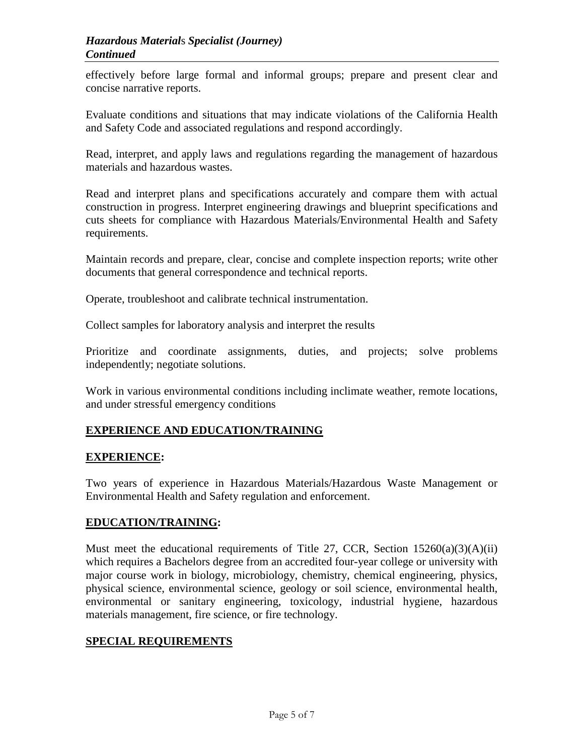effectively before large formal and informal groups; prepare and present clear and concise narrative reports.

Evaluate conditions and situations that may indicate violations of the California Health and Safety Code and associated regulations and respond accordingly.

Read, interpret, and apply laws and regulations regarding the management of hazardous materials and hazardous wastes.

Read and interpret plans and specifications accurately and compare them with actual construction in progress. Interpret engineering drawings and blueprint specifications and cuts sheets for compliance with Hazardous Materials/Environmental Health and Safety requirements.

Maintain records and prepare, clear, concise and complete inspection reports; write other documents that general correspondence and technical reports.

Operate, troubleshoot and calibrate technical instrumentation.

Collect samples for laboratory analysis and interpret the results

Prioritize and coordinate assignments, duties, and projects; solve problems independently; negotiate solutions.

Work in various environmental conditions including inclimate weather, remote locations, and under stressful emergency conditions

## **EXPERIENCE AND EDUCATION/TRAINING**

#### **EXPERIENCE:**

Two years of experience in Hazardous Materials/Hazardous Waste Management or Environmental Health and Safety regulation and enforcement.

#### **EDUCATION/TRAINING:**

Must meet the educational requirements of Title 27, CCR, Section  $15260(a)(3)(A)(ii)$ which requires a Bachelors degree from an accredited four-year college or university with major course work in biology, microbiology, chemistry, chemical engineering, physics, physical science, environmental science, geology or soil science, environmental health, environmental or sanitary engineering, toxicology, industrial hygiene, hazardous materials management, fire science, or fire technology.

#### **SPECIAL REQUIREMENTS**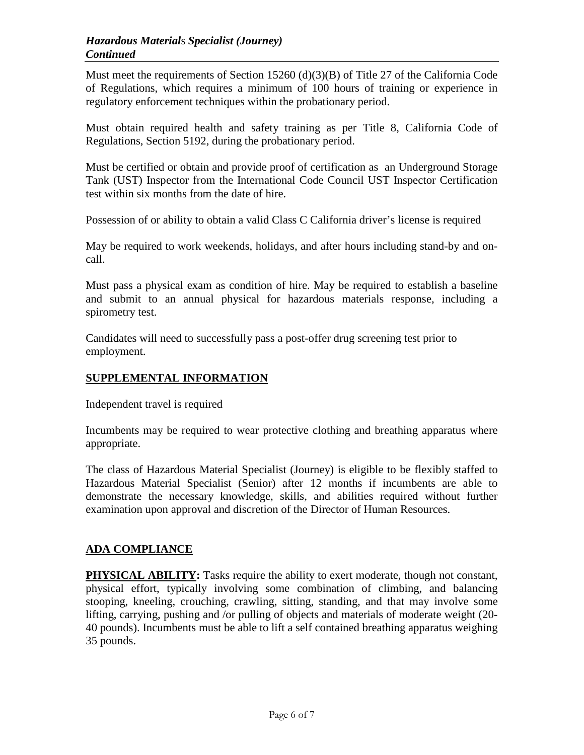Must meet the requirements of Section 15260 (d)(3)(B) of Title 27 of the California Code of Regulations, which requires a minimum of 100 hours of training or experience in regulatory enforcement techniques within the probationary period.

Must obtain required health and safety training as per Title 8, California Code of Regulations, Section 5192, during the probationary period.

Must be certified or obtain and provide proof of certification as an Underground Storage Tank (UST) Inspector from the International Code Council UST Inspector Certification test within six months from the date of hire.

Possession of or ability to obtain a valid Class C California driver's license is required

May be required to work weekends, holidays, and after hours including stand-by and oncall.

Must pass a physical exam as condition of hire. May be required to establish a baseline and submit to an annual physical for hazardous materials response, including a spirometry test.

Candidates will need to successfully pass a post-offer drug screening test prior to employment.

## **SUPPLEMENTAL INFORMATION**

Independent travel is required

Incumbents may be required to wear protective clothing and breathing apparatus where appropriate.

The class of Hazardous Material Specialist (Journey) is eligible to be flexibly staffed to Hazardous Material Specialist (Senior) after 12 months if incumbents are able to demonstrate the necessary knowledge, skills, and abilities required without further examination upon approval and discretion of the Director of Human Resources.

## **ADA COMPLIANCE**

**PHYSICAL ABILITY:** Tasks require the ability to exert moderate, though not constant, physical effort, typically involving some combination of climbing, and balancing stooping, kneeling, crouching, crawling, sitting, standing, and that may involve some lifting, carrying, pushing and /or pulling of objects and materials of moderate weight (20- 40 pounds). Incumbents must be able to lift a self contained breathing apparatus weighing 35 pounds.